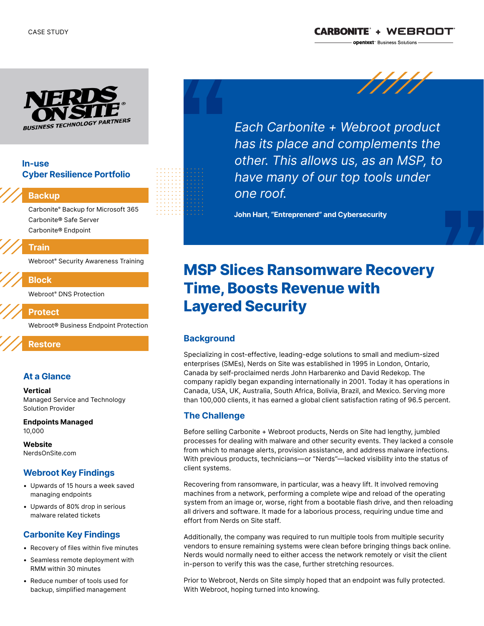

### In-use Cyber Resilience Portfolio

#### Backup

Carbonite® Backup for Microsoft 365 Carbonite® Safe Server Carbonite® Endpoint

#### Train

Webroot® Security Awareness Training

## Block

Webroot® DNS Protection

Protect

Webroot® Business Endpoint Protection

### Restore

### At a Glance

#### **Vertical**

Managed Service and Technology Solution Provider

Endpoints Managed 10,000

**Website** NerdsOnSite.com

### Webroot Key Findings

- Upwards of 15 hours a week saved managing endpoints
- Upwards of 80% drop in serious malware related tickets

### Carbonite Key Findings

- Recovery of files within five minutes
- Seamless remote deployment with RMM within 30 minutes
- Reduce number of tools used for backup, simplified management



Each Carbonite + Webroot product has its place and complements the other. This allows us, as an MSP, to have many of our top tools under one roof.

John Hart, "Entreprenerd" and Cybersecurity

# MSP Slices Ransomware Recovery Time, Boosts Revenue with Layered Security

# **Background**

Specializing in cost-effective, leading-edge solutions to small and medium-sized enterprises (SMEs), Nerds on Site was established in 1995 in London, Ontario, Canada by self-proclaimed nerds John Harbarenko and David Redekop. The company rapidly began expanding internationally in 2001. Today it has operations in Canada, USA, UK, Australia, South Africa, Bolivia, Brazil, and Mexico. Serving more than 100,000 clients, it has earned a global client satisfaction rating of 96.5 percent.

### The Challenge

Before selling Carbonite + Webroot products, Nerds on Site had lengthy, jumbled processes for dealing with malware and other security events. They lacked a console from which to manage alerts, provision assistance, and address malware infections. With previous products, technicians—or "Nerds"—lacked visibility into the status of client systems.

Recovering from ransomware, in particular, was a heavy lift. It involved removing machines from a network, performing a complete wipe and reload of the operating system from an image or, worse, right from a bootable flash drive, and then reloading all drivers and software. It made for a laborious process, requiring undue time and effort from Nerds on Site staff.

Additionally, the company was required to run multiple tools from multiple security vendors to ensure remaining systems were clean before bringing things back online. Nerds would normally need to either access the network remotely or visit the client in-person to verify this was the case, further stretching resources.

Prior to Webroot, Nerds on Site simply hoped that an endpoint was fully protected. With Webroot, hoping turned into knowing.